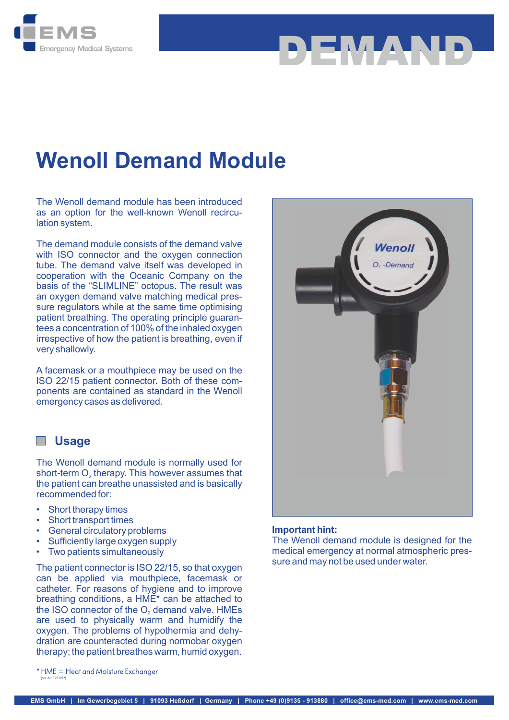

## Wenoll Demand Module

The Wenoll demand module has been introduced as an option for the well-known Wenoll recirculation system.

The demand module consists of the demand valve with ISO connector and the oxygen connection tube. The demand valve itself was developed in cooperation with the Oceanic Company on the basis of the "SLIMLINE" octopus. The result was an oxygen demand valve matching medical pressure regulators while at the same time optimising patient breathing. The operating principle guarantees a concentration of 100% of the inhaled oxygen irrespective of how the patient is breathing, even if very shallowly.

A facemask or a mouthpiece may be used on the ISO 22/15 patient connector. Both of these components are contained as standard in the Wenoll emergency cases as delivered.

## **Usage**

The Wenoll demand module is normally used for the patient can breathe unassisted and is basically recommended for: short-term O<sub>2</sub> therapy. This however assumes that

- Short therapy times
- Short transport times
- General circulatory problems
- Sufficiently large oxygen supply
- Two patients simultaneously

The patient connector is ISO 22/15, so that oxygen can be applied via mouthpiece, facemask or catheter. For reasons of hygiene and to improve breathing conditions, a HME\* can be attached to are used to physically warm and humidify the oxygen. The problems of hypothermia and dehydration are counteracted during normobar oxygen therapy; the patient breathes warm, humid oxygen. the ISO connector of the O<sub>2</sub> demand valve. HMEs



DEMAND

### Important hint:

The Wenoll demand module is designed for the medical emergency at normal atmospheric pressure and may not be used under water.

\* HME = Heat and Moisture Exchanger at JNF 121 052)